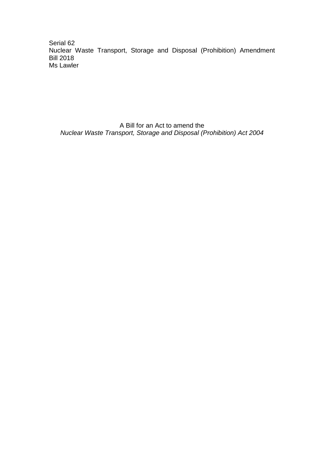Serial 62 Nuclear Waste Transport, Storage and Disposal (Prohibition) Amendment Bill 2018 Ms Lawler

A Bill for an Act to amend the *Nuclear Waste Transport, Storage and Disposal (Prohibition) Act 2004*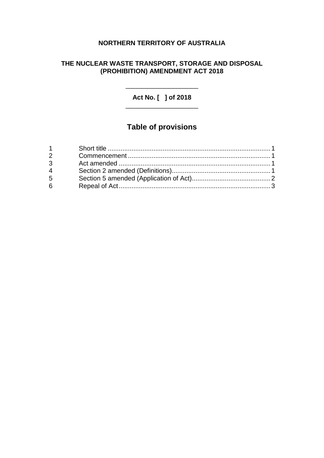# **NORTHERN TERRITORY OF AUSTRALIA**

## **THE NUCLEAR WASTE TRANSPORT, STORAGE AND DISPOSAL (PROHIBITION) AMENDMENT ACT 2018**

**Act No. [ ] of 2018** \_\_\_\_\_\_\_\_\_\_\_\_\_\_\_\_\_\_\_\_

\_\_\_\_\_\_\_\_\_\_\_\_\_\_\_\_\_\_\_\_

# **Table of provisions**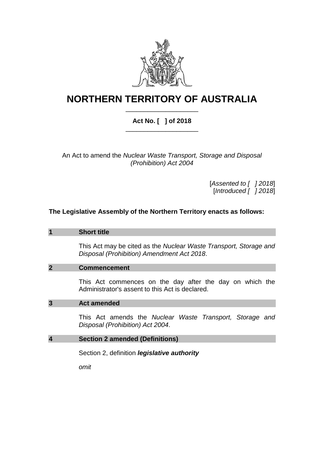

# **NORTHERN TERRITORY OF AUSTRALIA** \_\_\_\_\_\_\_\_\_\_\_\_\_\_\_\_\_\_\_\_

## **Act No. [ ] of 2018** \_\_\_\_\_\_\_\_\_\_\_\_\_\_\_\_\_\_\_\_

An Act to amend the *Nuclear Waste Transport, Storage and Disposal (Prohibition) Act 2004*

> [*Assented to [ ] 2018*] [*Introduced [ ] 2018*]

### **The Legislative Assembly of the Northern Territory enacts as follows:**

#### **1 Short title**

This Act may be cited as the *Nuclear Waste Transport, Storage and Disposal (Prohibition) Amendment Act 2018*.

#### **2 Commencement**

This Act commences on the day after the day on which the Administrator's assent to this Act is declared.

#### **3 Act amended**

This Act amends the *Nuclear Waste Transport, Storage and Disposal (Prohibition) Act 2004*.

#### **4 Section 2 amended (Definitions)**

Section 2, definition *legislative authority*

*omit*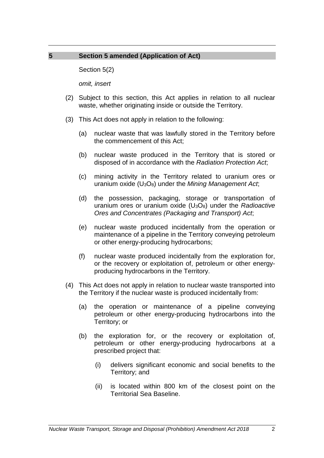## **5 Section 5 amended (Application of Act)**

Section 5(2)

*omit, insert*

- (2) Subject to this section, this Act applies in relation to all nuclear waste, whether originating inside or outside the Territory.
- (3) This Act does not apply in relation to the following:
	- (a) nuclear waste that was lawfully stored in the Territory before the commencement of this Act;
	- (b) nuclear waste produced in the Territory that is stored or disposed of in accordance with the *Radiation Protection Act*;
	- (c) mining activity in the Territory related to uranium ores or uranium oxide (U3O8) under the *Mining Management Act*;
	- (d) the possession, packaging, storage or transportation of uranium ores or uranium oxide (U3O8) under the *Radioactive Ores and Concentrates (Packaging and Transport) Act*;
	- (e) nuclear waste produced incidentally from the operation or maintenance of a pipeline in the Territory conveying petroleum or other energy-producing hydrocarbons;
	- (f) nuclear waste produced incidentally from the exploration for, or the recovery or exploitation of, petroleum or other energyproducing hydrocarbons in the Territory.
- (4) This Act does not apply in relation to nuclear waste transported into the Territory if the nuclear waste is produced incidentally from:
	- (a) the operation or maintenance of a pipeline conveying petroleum or other energy-producing hydrocarbons into the Territory; or
	- (b) the exploration for, or the recovery or exploitation of, petroleum or other energy-producing hydrocarbons at a prescribed project that:
		- (i) delivers significant economic and social benefits to the Territory; and
		- (ii) is located within 800 km of the closest point on the Territorial Sea Baseline.